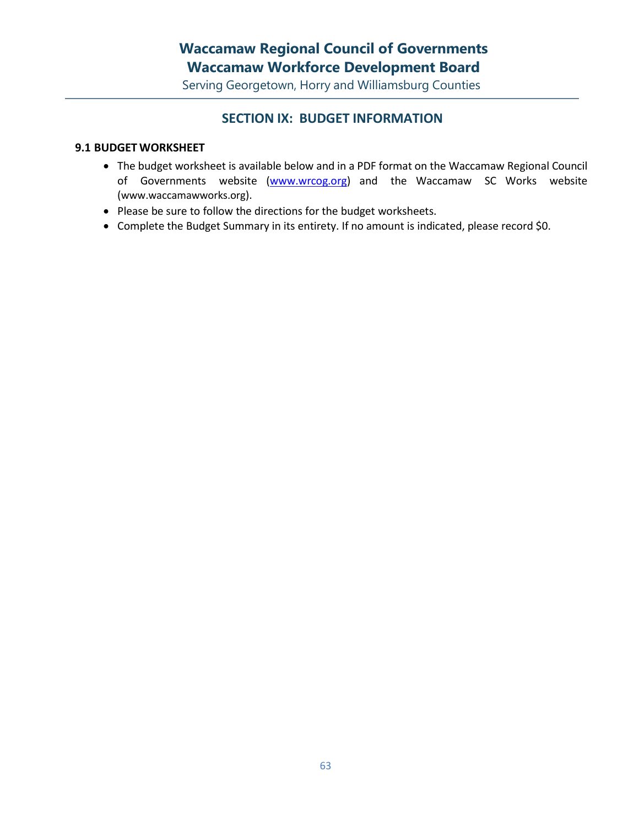## **Waccamaw Regional Council of Governments Waccamaw Workforce Development Board**

Serving Georgetown, Horry and Williamsburg Counties

### **SECTION IX: BUDGET INFORMATION**

#### **9.1 BUDGET WORKSHEET**

- The budget worksheet is available below and in a PDF format on the Waccamaw Regional Council of Governments website [\(www.wrcog.org\)](http://www.wrcog.org/) and the Waccamaw SC Works website ([www.waccamawworks.org](http://www.waccamawworks.org/)).
- Please be sure to follow the directions for the budget worksheets.
- Complete the Budget Summary in its entirety. If no amount is indicated, please record \$0.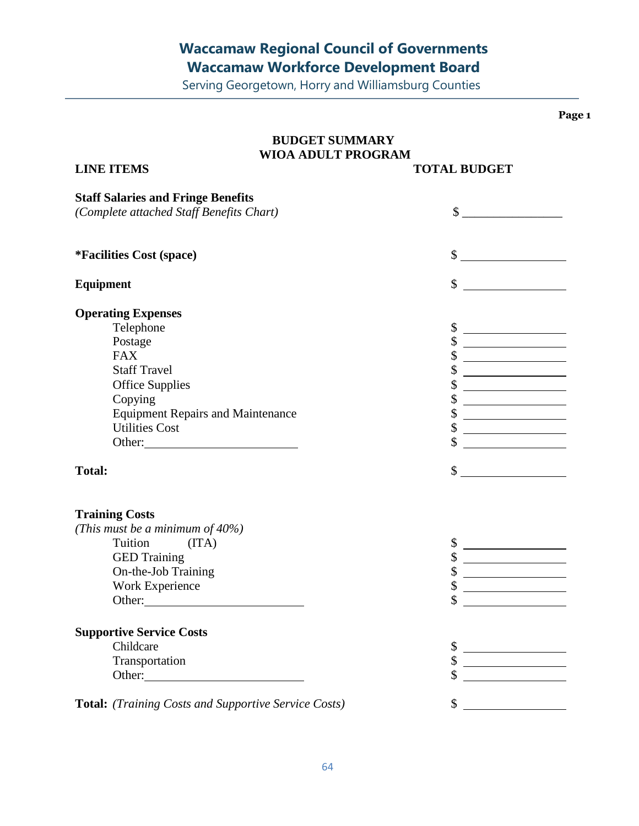# **Waccamaw Regional Council of Governments Waccamaw Workforce Development Board**

Serving Georgetown, Horry and Williamsburg Counties

**Page 1**

| <b>BUDGET SUMMARY</b><br><b>WIOA ADULT PROGRAM</b>                                                                                                                                                                             |                                                                                                                             |  |  |  |
|--------------------------------------------------------------------------------------------------------------------------------------------------------------------------------------------------------------------------------|-----------------------------------------------------------------------------------------------------------------------------|--|--|--|
| <b>LINE ITEMS</b>                                                                                                                                                                                                              | <b>TOTAL BUDGET</b>                                                                                                         |  |  |  |
| <b>Staff Salaries and Fringe Benefits</b><br>(Complete attached Staff Benefits Chart)                                                                                                                                          |                                                                                                                             |  |  |  |
| <i>*Facilities Cost (space)</i>                                                                                                                                                                                                | $\frac{1}{2}$                                                                                                               |  |  |  |
| <b>Equipment</b>                                                                                                                                                                                                               | $\mathbb{S}$<br><u> The Communication of the Communication</u>                                                              |  |  |  |
| <b>Operating Expenses</b>                                                                                                                                                                                                      |                                                                                                                             |  |  |  |
| Telephone                                                                                                                                                                                                                      |                                                                                                                             |  |  |  |
| Postage                                                                                                                                                                                                                        |                                                                                                                             |  |  |  |
| <b>FAX</b>                                                                                                                                                                                                                     | \$                                                                                                                          |  |  |  |
| <b>Staff Travel</b>                                                                                                                                                                                                            | <u> 1989 - Andrea Station Barbara, amerikan per</u>                                                                         |  |  |  |
| <b>Office Supplies</b>                                                                                                                                                                                                         | \$<br><u> 1989 - Johann Barn, mars and de Branch Barn, mars and de Branch Barn, mars and de Branch Barn, mars and de Br</u> |  |  |  |
| Copying                                                                                                                                                                                                                        | \$<br><u> 1989 - Johann Barbara, martxa a</u>                                                                               |  |  |  |
| <b>Equipment Repairs and Maintenance</b>                                                                                                                                                                                       | \$                                                                                                                          |  |  |  |
| <b>Utilities Cost</b>                                                                                                                                                                                                          | \$                                                                                                                          |  |  |  |
| Other:                                                                                                                                                                                                                         | \$<br>the company of the company of the company of                                                                          |  |  |  |
|                                                                                                                                                                                                                                |                                                                                                                             |  |  |  |
| <b>Total:</b>                                                                                                                                                                                                                  | $\sim$                                                                                                                      |  |  |  |
|                                                                                                                                                                                                                                |                                                                                                                             |  |  |  |
| <b>Training Costs</b>                                                                                                                                                                                                          |                                                                                                                             |  |  |  |
| (This must be a minimum of 40%)                                                                                                                                                                                                |                                                                                                                             |  |  |  |
| Tuition (ITA)                                                                                                                                                                                                                  |                                                                                                                             |  |  |  |
| <b>GED Training</b>                                                                                                                                                                                                            | \$<br><u> 1990 - Johann Barbara, martin a</u>                                                                               |  |  |  |
| On-the-Job Training                                                                                                                                                                                                            | \$                                                                                                                          |  |  |  |
| Work Experience                                                                                                                                                                                                                | \$                                                                                                                          |  |  |  |
| Other:                                                                                                                                                                                                                         | \$                                                                                                                          |  |  |  |
| <b>Supportive Service Costs</b>                                                                                                                                                                                                |                                                                                                                             |  |  |  |
| Childcare                                                                                                                                                                                                                      | <u> 1980 - Johann Barbara, martin a</u>                                                                                     |  |  |  |
| Transportation                                                                                                                                                                                                                 | <u> 1980 - Johann Barbara, martin a</u>                                                                                     |  |  |  |
| Other: 2000 Chemical Contract of the Chemical Contract of the Chemical Contract of the Chemical Contract of the Chemical Contract of the Chemical Contract of the Chemical Contract of the Chemical Contract of the Chemical C |                                                                                                                             |  |  |  |
|                                                                                                                                                                                                                                |                                                                                                                             |  |  |  |
| Total: (Training Costs and Supportive Service Costs)                                                                                                                                                                           | \$                                                                                                                          |  |  |  |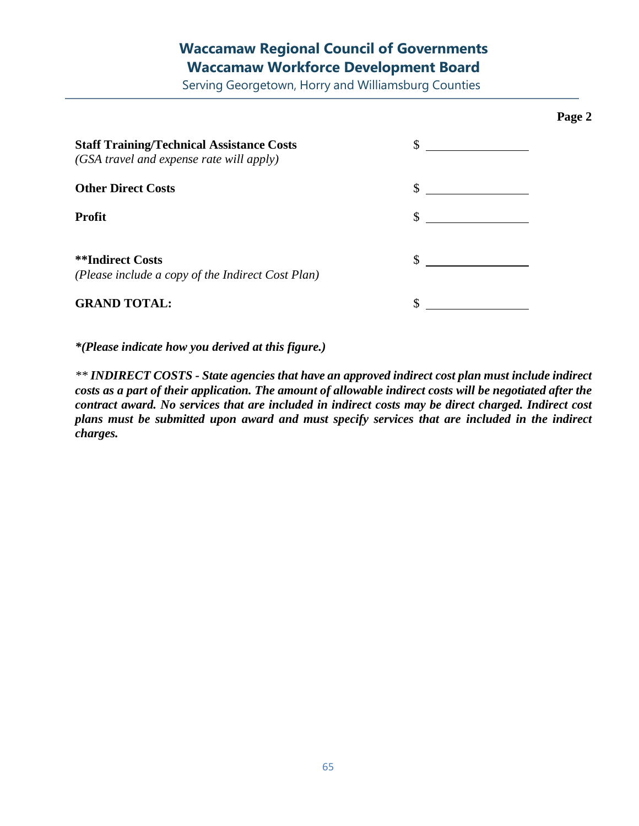## **Waccamaw Regional Council of Governments Waccamaw Workforce Development Board**

Serving Georgetown, Horry and Williamsburg Counties

**Page 2**

| <b>Staff Training/Technical Assistance Costs</b><br>(GSA travel and expense rate will apply) | \$ |
|----------------------------------------------------------------------------------------------|----|
| <b>Other Direct Costs</b>                                                                    | \$ |
| <b>Profit</b>                                                                                | \$ |
| <b>**Indirect Costs</b><br>(Please include a copy of the Indirect Cost Plan)                 |    |
| <b>GRAND TOTAL:</b>                                                                          |    |

*\*(Please indicate how you derived at this figure.)*

*\*\* INDIRECT COSTS - State agencies that have an approved indirect cost plan must include indirect costs as a part of their application. The amount of allowable indirect costs will be negotiated after the contract award. No services that are included in indirect costs may be direct charged. Indirect cost plans must be submitted upon award and must specify services that are included in the indirect charges.*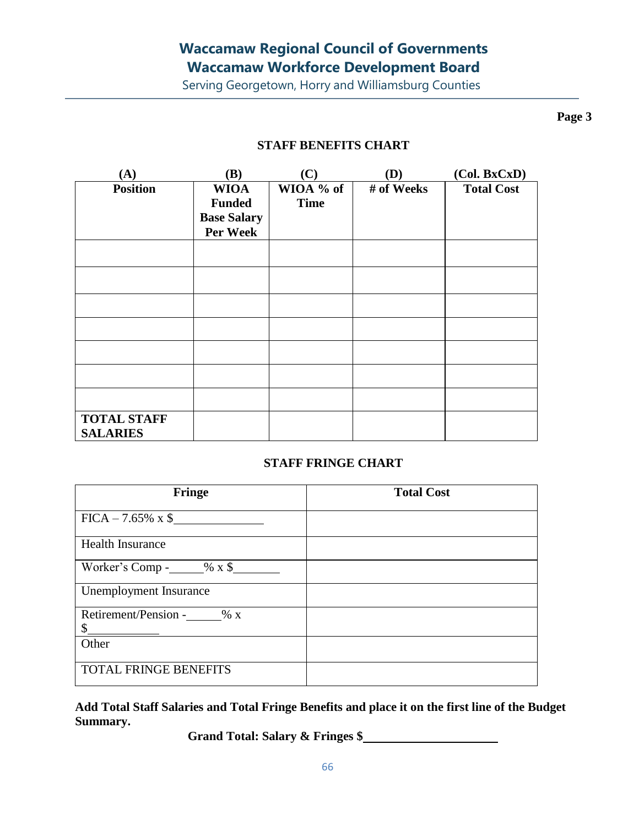Serving Georgetown, Horry and Williamsburg Counties

**Page 3**

### **STAFF BENEFITS CHART**

| (A)                                   | (B)                                                            | (C)                      | (D)        | (Col. BxCxD)      |
|---------------------------------------|----------------------------------------------------------------|--------------------------|------------|-------------------|
| <b>Position</b>                       | <b>WIOA</b><br><b>Funded</b><br><b>Base Salary</b><br>Per Week | WIOA % of<br><b>Time</b> | # of Weeks | <b>Total Cost</b> |
|                                       |                                                                |                          |            |                   |
|                                       |                                                                |                          |            |                   |
|                                       |                                                                |                          |            |                   |
|                                       |                                                                |                          |            |                   |
|                                       |                                                                |                          |            |                   |
|                                       |                                                                |                          |            |                   |
|                                       |                                                                |                          |            |                   |
| <b>TOTAL STAFF</b><br><b>SALARIES</b> |                                                                |                          |            |                   |

### **STAFF FRINGE CHART**

| Fringe                             | <b>Total Cost</b> |
|------------------------------------|-------------------|
| $FICA - 7.65\% \times \$$          |                   |
| <b>Health Insurance</b>            |                   |
| Worker's Comp - $\_\_\_\_\_\$ x \$ |                   |
| Unemployment Insurance             |                   |
| Retirement/Pension - % x<br>\$     |                   |
| Other                              |                   |
| TOTAL FRINGE BENEFITS              |                   |

**Add Total Staff Salaries and Total Fringe Benefits and place it on the first line of the Budget Summary.**

**Grand Total: Salary & Fringes \$**